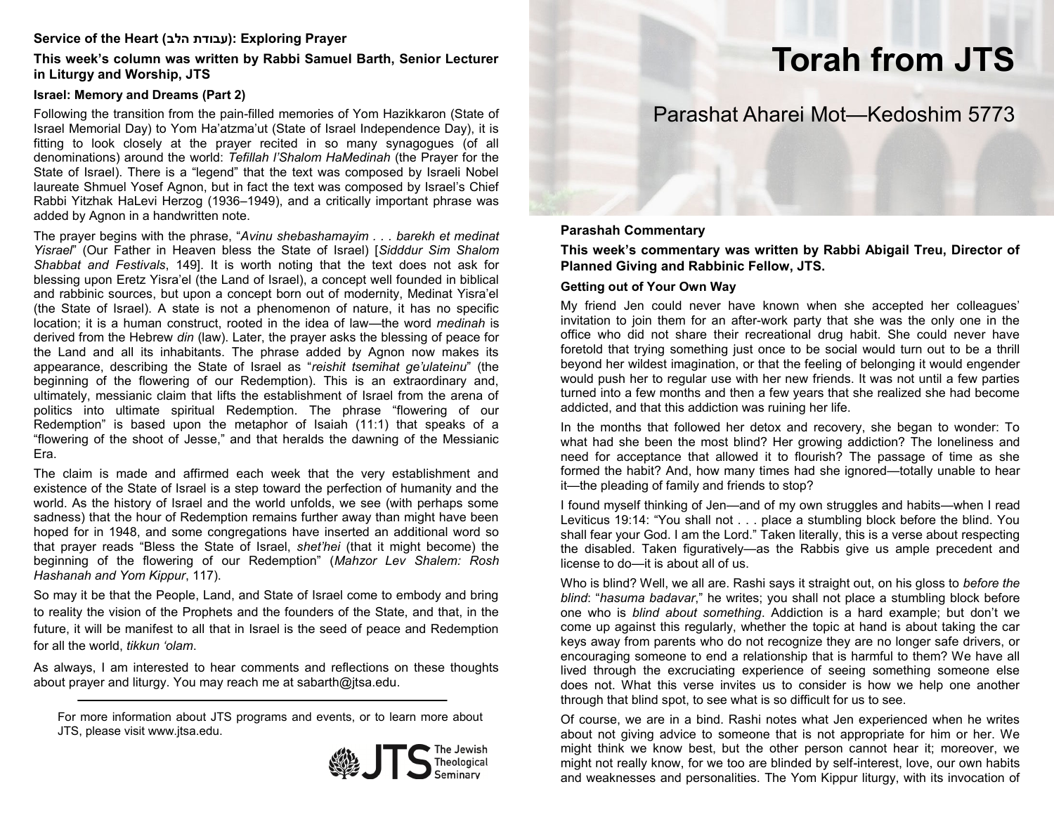### **Service of the Heart (הלב עבודת(: Exploring Prayer**

**This week's column was written by Rabbi Samuel Barth, Senior Lecturer in Liturgy and Worship, JTS** 

#### **Israel: Memory and Dreams (Part 2)**

Following the transition from the pain-filled memories of Yom Hazikkaron (State of Israel Memorial Day) to Yom Ha'atzma'ut (State of Israel Independence Day), it is fitting to look closely at the prayer recited in so many synagogues (of all denominations) around the world: *Tefillah l'Shalom HaMedinah* (the Prayer for the State of Israel). There is a "legend" that the text was composed by Israeli Nobel laureate Shmuel Yosef Agnon, but in fact the text was composed by Israel's Chief Rabbi Yitzhak HaLevi Herzog (1936–1949), and a critically important phrase was added by Agnon in a handwritten note.

The prayer begins with the phrase, "*Avinu shebashamayim . . . barekh et medinat Yisrael*" (Our Father in Heaven bless the State of Israel) [*Sidddur Sim Shalom Shabbat and Festivals*, 149]. It is worth noting that the text does not ask for blessing upon Eretz Yisra'el (the Land of Israel), a concept well founded in biblical and rabbinic sources, but upon a concept born out of modernity, Medinat Yisra'el (the State of Israel). A state is not a phenomenon of nature, it has no specific location; it is a human construct, rooted in the idea of law—the word *medinah* is derived from the Hebrew *din* (law). Later, the prayer asks the blessing of peace for the Land and all its inhabitants. The phrase added by Agnon now makes its appearance, describing the State of Israel as "*reishit tsemihat ge'ulateinu*" (the beginning of the flowering of our Redemption). This is an extraordinary and, ultimately, messianic claim that lifts the establishment of Israel from the arena of politics into ultimate spiritual Redemption. The phrase "flowering of our Redemption" is based upon the metaphor of Isaiah (11:1) that speaks of a "flowering of the shoot of Jesse," and that heralds the dawning of the Messianic Era.

The claim is made and affirmed each week that the very establishment and existence of the State of Israel is a step toward the perfection of humanity and the world. As the history of Israel and the world unfolds, we see (with perhaps some sadness) that the hour of Redemption remains further away than might have been hoped for in 1948, and some congregations have inserted an additional word so that prayer reads "Bless the State of Israel, *shet'hei* (that it might become) the beginning of the flowering of our Redemption" (*Mahzor Lev Shalem: Rosh Hashanah and Yom Kippur*, 117).

So may it be that the People, Land, and State of Israel come to embody and bring to reality the vision of the Prophets and the founders of the State, and that, in the future, it will be manifest to all that in Israel is the seed of peace and Redemption for all the world, *tikkun 'olam*.

As always, I am interested to hear comments and reflections on these thoughts about prayer and liturgy. You may reach me at sabarth@jtsa.edu.

For more information about JTS programs and events, or to learn more about JTS, please visit www.jtsa.edu.



# **Torah from JTS**

# Parashat Aharei Mot—Kedoshim 5773

#### **Parashah Commentary**

**This week's commentary was written by Rabbi Abigail Treu, Director of Planned Giving and Rabbinic Fellow, JTS.**

#### **Getting out of Your Own Way**

My friend Jen could never have known when she accepted her colleagues' invitation to join them for an after-work party that she was the only one in the office who did not share their recreational drug habit. She could never have foretold that trying something just once to be social would turn out to be a thrill beyond her wildest imagination, or that the feeling of belonging it would engender would push her to regular use with her new friends. It was not until a few parties turned into a few months and then a few years that she realized she had become addicted, and that this addiction was ruining her life.

In the months that followed her detox and recovery, she began to wonder: To what had she been the most blind? Her growing addiction? The loneliness and need for acceptance that allowed it to flourish? The passage of time as she formed the habit? And, how many times had she ignored—totally unable to hear it—the pleading of family and friends to stop?

I found myself thinking of Jen—and of my own struggles and habits—when I read Leviticus 19:14: "You shall not . . . place a stumbling block before the blind. You shall fear your God. I am the Lord." Taken literally, this is a verse about respecting the disabled. Taken figuratively—as the Rabbis give us ample precedent and license to do—it is about all of us.

Who is blind? Well, we all are. Rashi says it straight out, on his gloss to *before the blind*: "*hasuma badavar*," he writes; you shall not place a stumbling block before one who is *blind about something*. Addiction is a hard example; but don't we come up against this regularly, whether the topic at hand is about taking the car keys away from parents who do not recognize they are no longer safe drivers, or encouraging someone to end a relationship that is harmful to them? We have all lived through the excruciating experience of seeing something someone else does not. What this verse invites us to consider is how we help one another through that blind spot, to see what is so difficult for us to see.

Of course, we are in a bind. Rashi notes what Jen experienced when he writes about not giving advice to someone that is not appropriate for him or her. We might think we know best, but the other person cannot hear it; moreover, we might not really know, for we too are blinded by self-interest, love, our own habits and weaknesses and personalities. The Yom Kippur liturgy, with its invocation of